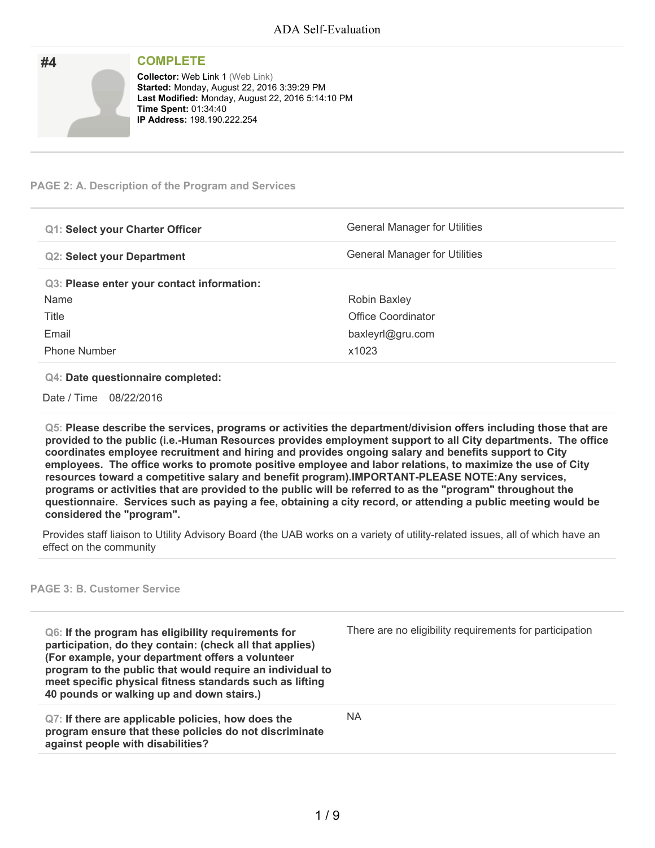| #4 | <b>COMPLETE</b>                                                                                                                                                                                                         |
|----|-------------------------------------------------------------------------------------------------------------------------------------------------------------------------------------------------------------------------|
|    | <b>Collector: Web Link 1 (Web Link)</b><br><b>Started: Monday, August 22, 2016 3:39:29 PM</b><br>Last Modified: Monday, August 22, 2016 5:14:10 PM<br><b>Time Spent: 01:34:40</b><br><b>IP Address: 198.190.222.254</b> |

### **PAGE 2: A. Description of the Program and Services**

| <b>Q1: Select your Charter Officer</b>     | General Manager for Utilities        |
|--------------------------------------------|--------------------------------------|
| <b>Q2: Select your Department</b>          | <b>General Manager for Utilities</b> |
| Q3: Please enter your contact information: |                                      |
| Name                                       | Robin Baxley                         |
| Title                                      | Office Coordinator                   |
| Email                                      | baxleyrl@gru.com                     |
| <b>Phone Number</b>                        | x1023                                |

#### **Q4: Date questionnaire completed:**

Date / Time 08/22/2016

**Q5: Please describe the services, programs or activities the department/division offers including those that are provided to the public (i.e.-Human Resources provides employment support to all City departments. The office coordinates employee recruitment and hiring and provides ongoing salary and benefits support to City employees. The office works to promote positive employee and labor relations, to maximize the use of City resources toward a competitive salary and benefit program).IMPORTANT-PLEASE NOTE:Any services,** programs or activities that are provided to the public will be referred to as the "program" throughout the questionnaire. Services such as paying a fee, obtaining a city record, or attending a public meeting would be **considered the "program".**

Provides staff liaison to Utility Advisory Board (the UAB works on a variety of utility-related issues, all of which have an effect on the community

#### **PAGE 3: B. Customer Service**

**Q6: If the program has eligibility requirements for participation, do they contain: (check all that applies) (For example, your department offers a volunteer program to the public that would require an individual to meet specific physical fitness standards such as lifting 40 pounds or walking up and down stairs.)** There are no eligibility requirements for participation **Q7: If there are applicable policies, how does the program ensure that these policies do not discriminate against people with disabilities?** NA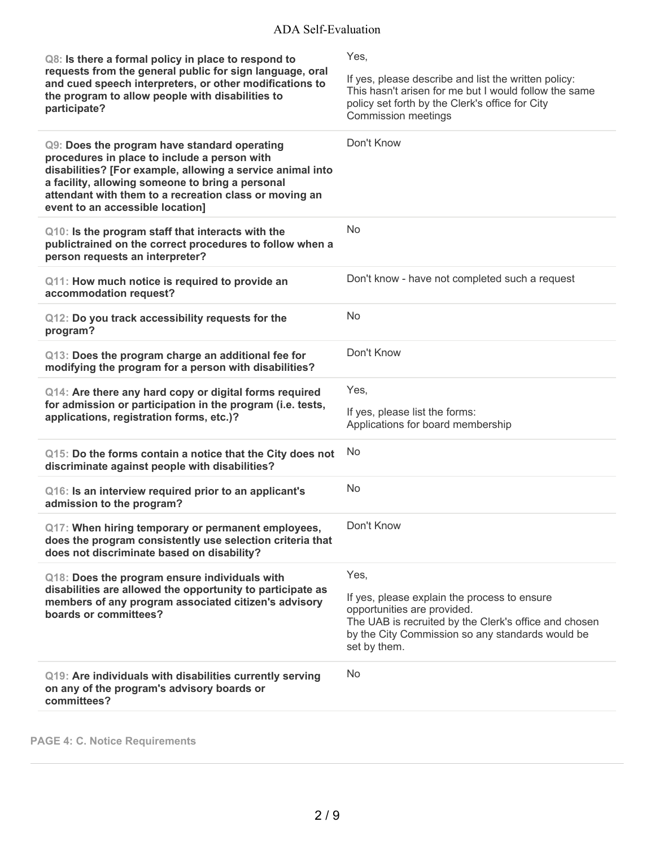| Q8: Is there a formal policy in place to respond to<br>requests from the general public for sign language, oral<br>and cued speech interpreters, or other modifications to<br>the program to allow people with disabilities to<br>participate?                                                               | Yes,<br>If yes, please describe and list the written policy:<br>This hasn't arisen for me but I would follow the same<br>policy set forth by the Clerk's office for City<br><b>Commission meetings</b>           |
|--------------------------------------------------------------------------------------------------------------------------------------------------------------------------------------------------------------------------------------------------------------------------------------------------------------|------------------------------------------------------------------------------------------------------------------------------------------------------------------------------------------------------------------|
| Q9: Does the program have standard operating<br>procedures in place to include a person with<br>disabilities? [For example, allowing a service animal into<br>a facility, allowing someone to bring a personal<br>attendant with them to a recreation class or moving an<br>event to an accessible location] | Don't Know                                                                                                                                                                                                       |
| Q10: Is the program staff that interacts with the<br>publictrained on the correct procedures to follow when a<br>person requests an interpreter?                                                                                                                                                             | <b>No</b>                                                                                                                                                                                                        |
| Q11: How much notice is required to provide an<br>accommodation request?                                                                                                                                                                                                                                     | Don't know - have not completed such a request                                                                                                                                                                   |
| Q12: Do you track accessibility requests for the<br>program?                                                                                                                                                                                                                                                 | No                                                                                                                                                                                                               |
| Q13: Does the program charge an additional fee for<br>modifying the program for a person with disabilities?                                                                                                                                                                                                  | Don't Know                                                                                                                                                                                                       |
| Q14: Are there any hard copy or digital forms required<br>for admission or participation in the program (i.e. tests,<br>applications, registration forms, etc.)?                                                                                                                                             | Yes,<br>If yes, please list the forms:<br>Applications for board membership                                                                                                                                      |
| Q15: Do the forms contain a notice that the City does not<br>discriminate against people with disabilities?                                                                                                                                                                                                  | <b>No</b>                                                                                                                                                                                                        |
| Q16: Is an interview required prior to an applicant's<br>admission to the program?                                                                                                                                                                                                                           | No                                                                                                                                                                                                               |
| Q17: When hiring temporary or permanent employees,<br>does the program consistently use selection criteria that<br>does not discriminate based on disability?                                                                                                                                                | Don't Know                                                                                                                                                                                                       |
| Q18: Does the program ensure individuals with<br>disabilities are allowed the opportunity to participate as<br>members of any program associated citizen's advisory<br>boards or committees?                                                                                                                 | Yes,<br>If yes, please explain the process to ensure<br>opportunities are provided.<br>The UAB is recruited by the Clerk's office and chosen<br>by the City Commission so any standards would be<br>set by them. |
| Q19: Are individuals with disabilities currently serving<br>on any of the program's advisory boards or<br>committees?                                                                                                                                                                                        | <b>No</b>                                                                                                                                                                                                        |

**PAGE 4: C. Notice Requirements**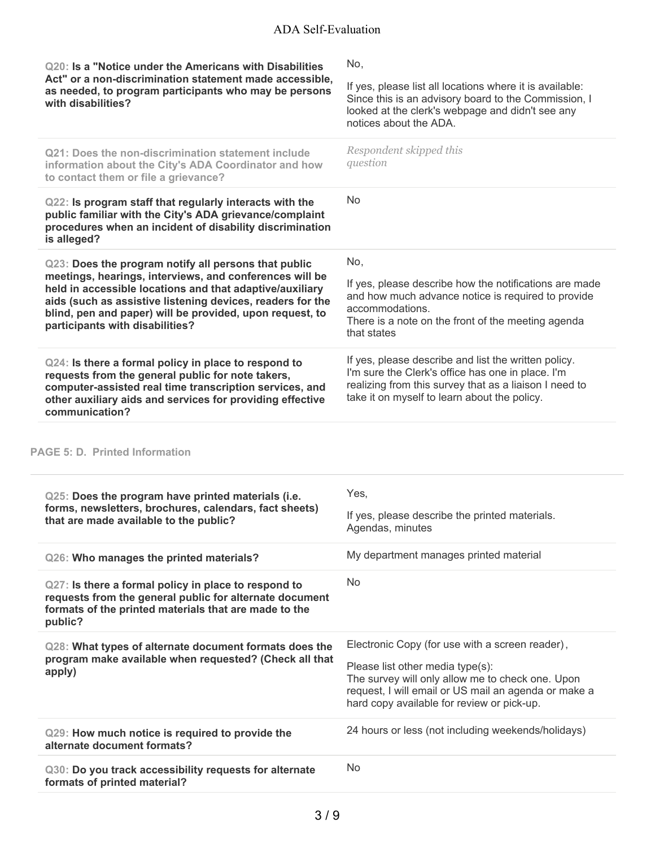| Q20: Is a "Notice under the Americans with Disabilities<br>Act" or a non-discrimination statement made accessible,<br>as needed, to program participants who may be persons<br>with disabilities?                                                                                                                                        | No,<br>If yes, please list all locations where it is available:<br>Since this is an advisory board to the Commission, I<br>looked at the clerk's webpage and didn't see any<br>notices about the ADA.               |
|------------------------------------------------------------------------------------------------------------------------------------------------------------------------------------------------------------------------------------------------------------------------------------------------------------------------------------------|---------------------------------------------------------------------------------------------------------------------------------------------------------------------------------------------------------------------|
| Q21: Does the non-discrimination statement include<br>information about the City's ADA Coordinator and how<br>to contact them or file a grievance?                                                                                                                                                                                       | Respondent skipped this<br>question                                                                                                                                                                                 |
| Q22: Is program staff that regularly interacts with the<br>public familiar with the City's ADA grievance/complaint<br>procedures when an incident of disability discrimination<br>is alleged?                                                                                                                                            | <b>No</b>                                                                                                                                                                                                           |
| Q23: Does the program notify all persons that public<br>meetings, hearings, interviews, and conferences will be<br>held in accessible locations and that adaptive/auxiliary<br>aids (such as assistive listening devices, readers for the<br>blind, pen and paper) will be provided, upon request, to<br>participants with disabilities? | No,<br>If yes, please describe how the notifications are made<br>and how much advance notice is required to provide<br>accommodations.<br>There is a note on the front of the meeting agenda<br>that states         |
| Q24: Is there a formal policy in place to respond to<br>requests from the general public for note takers,<br>computer-assisted real time transcription services, and<br>other auxiliary aids and services for providing effective<br>communication?                                                                                      | If yes, please describe and list the written policy.<br>I'm sure the Clerk's office has one in place. I'm<br>realizing from this survey that as a liaison I need to<br>take it on myself to learn about the policy. |
| <b>PAGE 5: D. Printed Information</b>                                                                                                                                                                                                                                                                                                    |                                                                                                                                                                                                                     |
| Q25: Does the program have printed materials (i.e.                                                                                                                                                                                                                                                                                       | Yes,                                                                                                                                                                                                                |
| forms, newsletters, brochures, calendars, fact sheets)<br>that are made available to the public?                                                                                                                                                                                                                                         | If yes, please describe the printed materials.<br>Agendas, minutes                                                                                                                                                  |
| Q26: Who manages the printed materials?                                                                                                                                                                                                                                                                                                  | My department manages printed material                                                                                                                                                                              |
| Q27: Is there a formal policy in place to respond to<br>requests from the general public for alternate document<br>formats of the printed materials that are made to the<br>public?                                                                                                                                                      | No                                                                                                                                                                                                                  |
| Q28: What types of alternate document formats does the                                                                                                                                                                                                                                                                                   | Electronic Copy (for use with a screen reader),                                                                                                                                                                     |
| program make available when requested? (Check all that<br>apply)                                                                                                                                                                                                                                                                         | Please list other media type(s):<br>The survey will only allow me to check one. Upon<br>request, I will email or US mail an agenda or make a<br>hard copy available for review or pick-up.                          |
| Q29: How much notice is required to provide the<br>alternate document formats?                                                                                                                                                                                                                                                           | 24 hours or less (not including weekends/holidays)                                                                                                                                                                  |
| Q30: Do you track accessibility requests for alternate<br>formats of printed material?                                                                                                                                                                                                                                                   | No                                                                                                                                                                                                                  |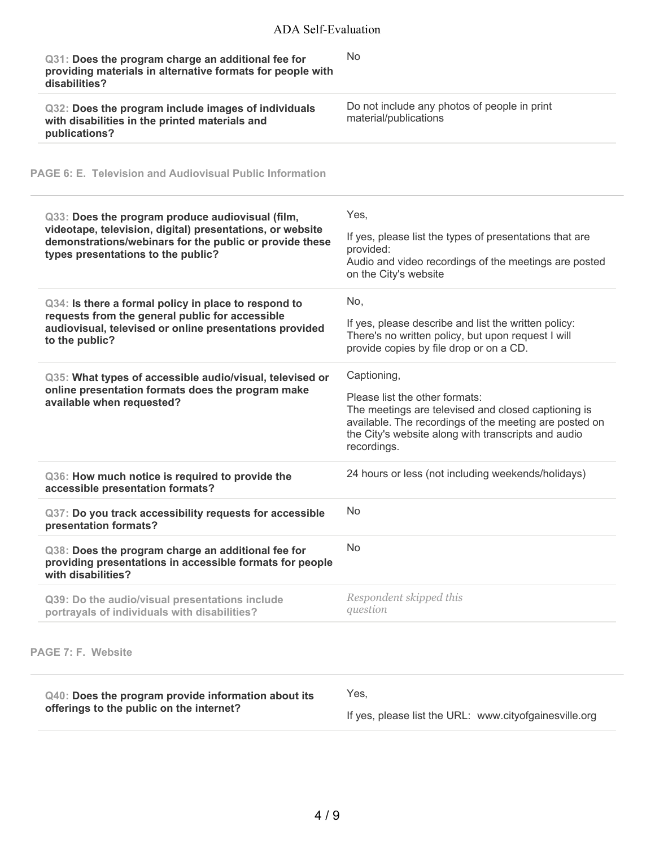| Q31: Does the program charge an additional fee for<br>providing materials in alternative formats for people with<br>disabilities?                                                                              | <b>No</b>                                                                                                                                                                                                                            |
|----------------------------------------------------------------------------------------------------------------------------------------------------------------------------------------------------------------|--------------------------------------------------------------------------------------------------------------------------------------------------------------------------------------------------------------------------------------|
| Q32: Does the program include images of individuals<br>with disabilities in the printed materials and<br>publications?                                                                                         | Do not include any photos of people in print<br>material/publications                                                                                                                                                                |
| <b>PAGE 6: E. Television and Audiovisual Public Information</b>                                                                                                                                                |                                                                                                                                                                                                                                      |
| Q33: Does the program produce audiovisual (film,<br>videotape, television, digital) presentations, or website<br>demonstrations/webinars for the public or provide these<br>types presentations to the public? | Yes,<br>If yes, please list the types of presentations that are<br>provided:<br>Audio and video recordings of the meetings are posted<br>on the City's website                                                                       |
| Q34: Is there a formal policy in place to respond to<br>requests from the general public for accessible<br>audiovisual, televised or online presentations provided<br>to the public?                           | No,<br>If yes, please describe and list the written policy:<br>There's no written policy, but upon request I will<br>provide copies by file drop or on a CD.                                                                         |
| Q35: What types of accessible audio/visual, televised or<br>online presentation formats does the program make<br>available when requested?                                                                     | Captioning,<br>Please list the other formats:<br>The meetings are televised and closed captioning is<br>available. The recordings of the meeting are posted on<br>the City's website along with transcripts and audio<br>recordings. |
| Q36: How much notice is required to provide the<br>accessible presentation formats?                                                                                                                            | 24 hours or less (not including weekends/holidays)                                                                                                                                                                                   |
| Q37: Do you track accessibility requests for accessible<br>presentation formats?                                                                                                                               | No                                                                                                                                                                                                                                   |
| Q38: Does the program charge an additional fee for<br>providing presentations in accessible formats for people<br>with disabilities?                                                                           | No                                                                                                                                                                                                                                   |
| Q39: Do the audio/visual presentations include<br>portrayals of individuals with disabilities?                                                                                                                 | Respondent skipped this<br>question                                                                                                                                                                                                  |
| PAGE 7: F. Website                                                                                                                                                                                             |                                                                                                                                                                                                                                      |
| Q40: Does the program provide information about its                                                                                                                                                            | Yes,                                                                                                                                                                                                                                 |
| offerings to the public on the internet?                                                                                                                                                                       | If yes, please list the URL: www.cityofgainesville.org                                                                                                                                                                               |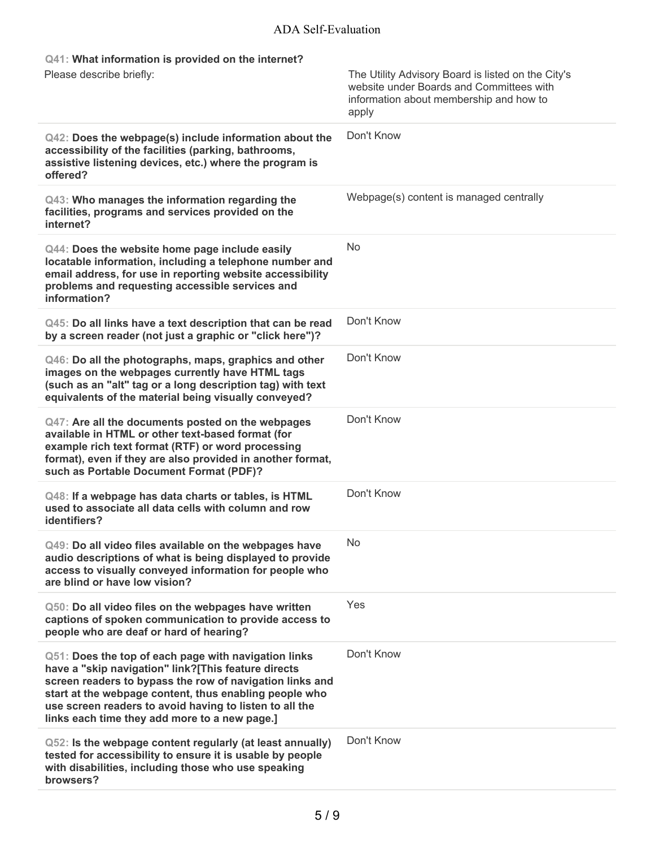# ADA Self-Evaluation

| Q41: What information is provided on the internet?<br>Please describe briefly:                                                                                                                                                                                                                                                                | The Utility Advisory Board is listed on the City's<br>website under Boards and Committees with<br>information about membership and how to<br>apply |
|-----------------------------------------------------------------------------------------------------------------------------------------------------------------------------------------------------------------------------------------------------------------------------------------------------------------------------------------------|----------------------------------------------------------------------------------------------------------------------------------------------------|
| Q42: Does the webpage(s) include information about the<br>accessibility of the facilities (parking, bathrooms,<br>assistive listening devices, etc.) where the program is<br>offered?                                                                                                                                                         | Don't Know                                                                                                                                         |
| Q43: Who manages the information regarding the<br>facilities, programs and services provided on the<br>internet?                                                                                                                                                                                                                              | Webpage(s) content is managed centrally                                                                                                            |
| Q44: Does the website home page include easily<br>locatable information, including a telephone number and<br>email address, for use in reporting website accessibility<br>problems and requesting accessible services and<br>information?                                                                                                     | <b>No</b>                                                                                                                                          |
| Q45: Do all links have a text description that can be read<br>by a screen reader (not just a graphic or "click here")?                                                                                                                                                                                                                        | Don't Know                                                                                                                                         |
| Q46: Do all the photographs, maps, graphics and other<br>images on the webpages currently have HTML tags<br>(such as an "alt" tag or a long description tag) with text<br>equivalents of the material being visually conveyed?                                                                                                                | Don't Know                                                                                                                                         |
| Q47: Are all the documents posted on the webpages<br>available in HTML or other text-based format (for<br>example rich text format (RTF) or word processing<br>format), even if they are also provided in another format,<br>such as Portable Document Format (PDF)?                                                                          | Don't Know                                                                                                                                         |
| Q48: If a webpage has data charts or tables, is HTML<br>used to associate all data cells with column and row<br>identifiers?                                                                                                                                                                                                                  | Don't Know                                                                                                                                         |
| Q49: Do all video files available on the webpages have<br>audio descriptions of what is being displayed to provide<br>access to visually conveyed information for people who<br>are blind or have low vision?                                                                                                                                 | <b>No</b>                                                                                                                                          |
| Q50: Do all video files on the webpages have written<br>captions of spoken communication to provide access to<br>people who are deaf or hard of hearing?                                                                                                                                                                                      | Yes                                                                                                                                                |
| Q51: Does the top of each page with navigation links<br>have a "skip navigation" link?[This feature directs<br>screen readers to bypass the row of navigation links and<br>start at the webpage content, thus enabling people who<br>use screen readers to avoid having to listen to all the<br>links each time they add more to a new page.] | Don't Know                                                                                                                                         |
| Q52: Is the webpage content regularly (at least annually)<br>tested for accessibility to ensure it is usable by people<br>with disabilities, including those who use speaking<br>browsers?                                                                                                                                                    | Don't Know                                                                                                                                         |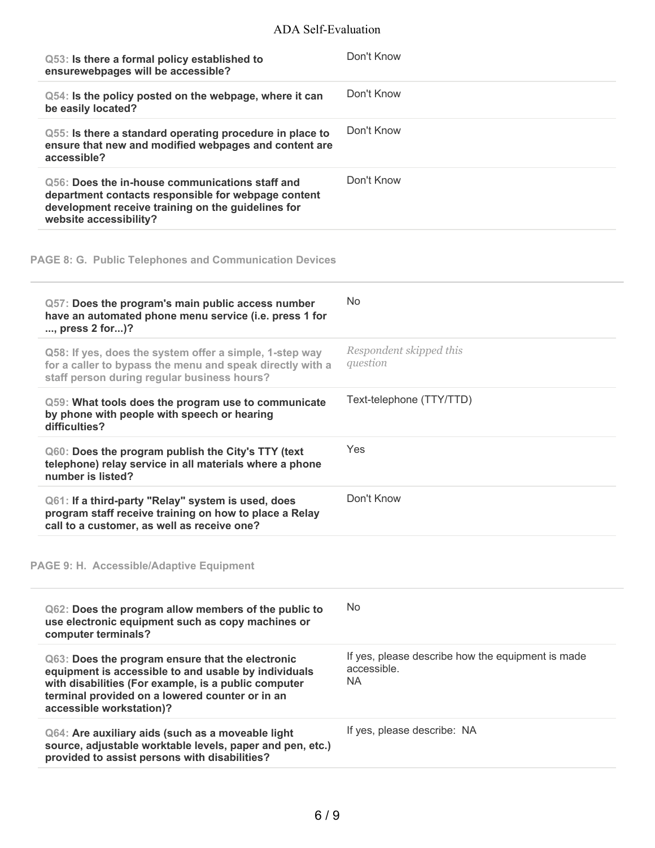## ADA Self-Evaluation

| Q53: Is there a formal policy established to<br>ensurewebpages will be accessible?                                                                                                                                                              | Don't Know                                                                    |
|-------------------------------------------------------------------------------------------------------------------------------------------------------------------------------------------------------------------------------------------------|-------------------------------------------------------------------------------|
| Q54: Is the policy posted on the webpage, where it can<br>be easily located?                                                                                                                                                                    | Don't Know                                                                    |
| Q55: Is there a standard operating procedure in place to<br>ensure that new and modified webpages and content are<br>accessible?                                                                                                                | Don't Know                                                                    |
| Q56: Does the in-house communications staff and<br>department contacts responsible for webpage content<br>development receive training on the guidelines for<br>website accessibility?                                                          | Don't Know                                                                    |
| <b>PAGE 8: G. Public Telephones and Communication Devices</b>                                                                                                                                                                                   |                                                                               |
| Q57: Does the program's main public access number<br>have an automated phone menu service (i.e. press 1 for<br>, press 2 for)?                                                                                                                  | No.                                                                           |
| Q58: If yes, does the system offer a simple, 1-step way<br>for a caller to bypass the menu and speak directly with a<br>staff person during regular business hours?                                                                             | Respondent skipped this<br>question                                           |
| Q59: What tools does the program use to communicate<br>by phone with people with speech or hearing<br>difficulties?                                                                                                                             | Text-telephone (TTY/TTD)                                                      |
| Q60: Does the program publish the City's TTY (text<br>telephone) relay service in all materials where a phone<br>number is listed?                                                                                                              | Yes                                                                           |
| Q61: If a third-party "Relay" system is used, does<br>program staff receive training on how to place a Relay<br>call to a customer, as well as receive one?                                                                                     | Don't Know                                                                    |
| PAGE 9: H. Accessible/Adaptive Equipment                                                                                                                                                                                                        |                                                                               |
| Q62: Does the program allow members of the public to<br>use electronic equipment such as copy machines or<br>computer terminals?                                                                                                                | N <sub>o</sub>                                                                |
| Q63: Does the program ensure that the electronic<br>equipment is accessible to and usable by individuals<br>with disabilities (For example, is a public computer<br>terminal provided on a lowered counter or in an<br>accessible workstation)? | If yes, please describe how the equipment is made<br>accessible.<br><b>NA</b> |
| Q64: Are auxiliary aids (such as a moveable light<br>source, adjustable worktable levels, paper and pen, etc.)<br>provided to assist persons with disabilities?                                                                                 | If yes, please describe: NA                                                   |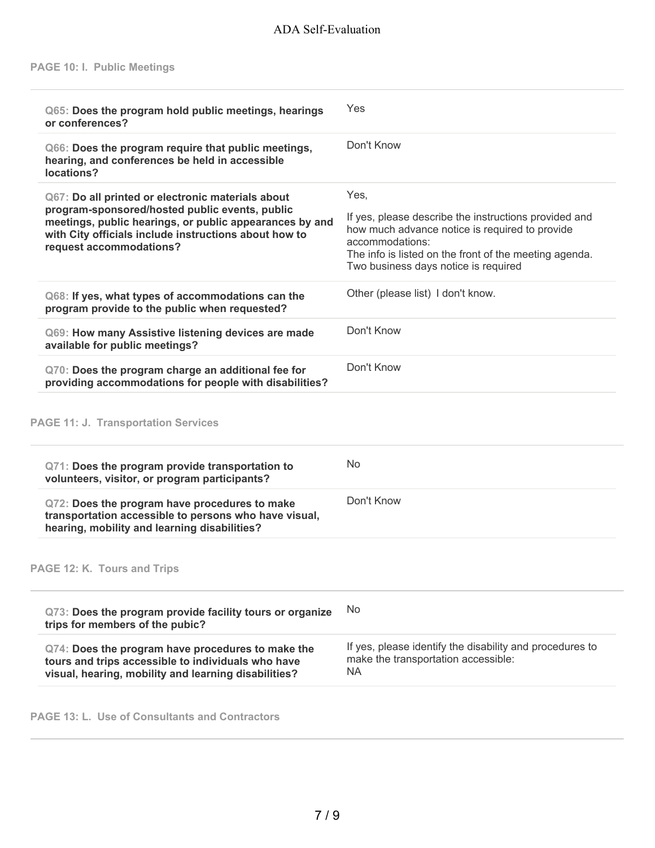|                                                                                                                                                                                                                              | Q65: Does the program hold public meetings, hearings<br>or conferences?                                                                                                                       |
|------------------------------------------------------------------------------------------------------------------------------------------------------------------------------------------------------------------------------|-----------------------------------------------------------------------------------------------------------------------------------------------------------------------------------------------|
|                                                                                                                                                                                                                              | Q66: Does the program require that public meetings,<br>hearing, and conferences be held in accessible<br>locations?                                                                           |
|                                                                                                                                                                                                                              | Q67: Do all printed or electronic materials about                                                                                                                                             |
| If yes, please describe the instructions provided and<br>how much advance notice is required to provide<br>accommodations:<br>The info is listed on the front of the meeting agenda.<br>Two business days notice is required | program-sponsored/hosted public events, public<br>meetings, public hearings, or public appearances by and<br>with City officials include instructions about how to<br>request accommodations? |
| Other (please list) I don't know.                                                                                                                                                                                            | Q68: If yes, what types of accommodations can the<br>program provide to the public when requested?                                                                                            |
|                                                                                                                                                                                                                              | Q69: How many Assistive listening devices are made<br>available for public meetings?                                                                                                          |
|                                                                                                                                                                                                                              | Q70: Does the program charge an additional fee for<br>providing accommodations for people with disabilities?                                                                                  |
|                                                                                                                                                                                                                              | <b>PAGE 11: J. Transportation Services</b>                                                                                                                                                    |
|                                                                                                                                                                                                                              | Q71: Does the program provide transportation to<br>volunteers, visitor, or program participants?                                                                                              |
|                                                                                                                                                                                                                              | Q72: Does the program have procedures to make<br>transportation accessible to persons who have visual,<br>hearing, mobility and learning disabilities?                                        |
|                                                                                                                                                                                                                              | PAGE 12: K. Tours and Trips                                                                                                                                                                   |
|                                                                                                                                                                                                                              | Q73: Does the program provide facility tours or organize<br>trips for members of the pubic?                                                                                                   |
| If yes, please identify the disability and procedures to<br>make the transportation accessible:                                                                                                                              | Q74: Does the program have procedures to make the<br>tours and trips accessible to individuals who have<br>visual, hearing, mobility and learning disabilities?                               |
|                                                                                                                                                                                                                              |                                                                                                                                                                                               |

**PAGE 13: L. Use of Consultants and Contractors**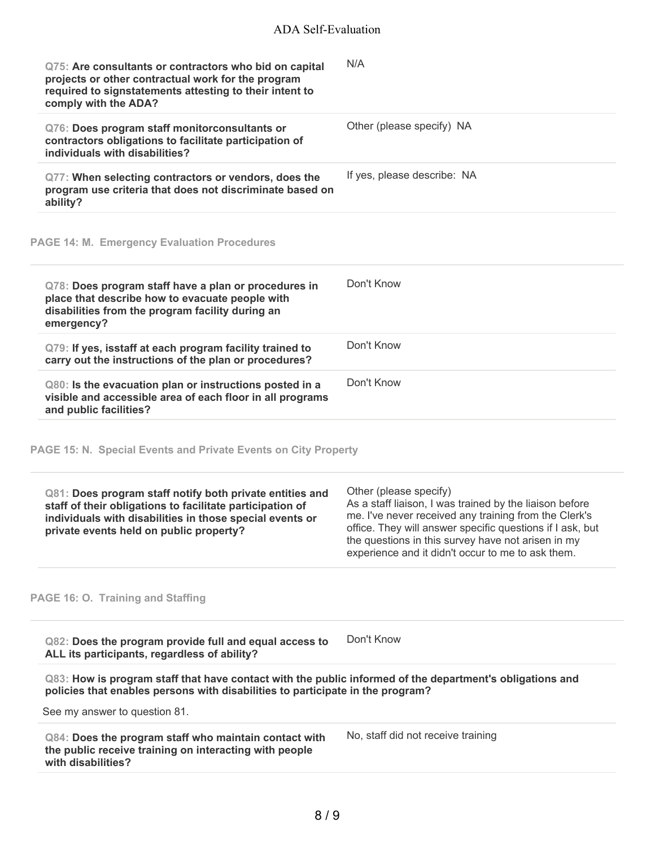| Q75: Are consultants or contractors who bid on capital<br>projects or other contractual work for the program<br>required to signstatements attesting to their intent to<br>comply with the ADA?                              | N/A                                                                                                                                                                                                                                                                                                                |
|------------------------------------------------------------------------------------------------------------------------------------------------------------------------------------------------------------------------------|--------------------------------------------------------------------------------------------------------------------------------------------------------------------------------------------------------------------------------------------------------------------------------------------------------------------|
| Q76: Does program staff monitorconsultants or<br>contractors obligations to facilitate participation of<br>individuals with disabilities?                                                                                    | Other (please specify) NA                                                                                                                                                                                                                                                                                          |
| Q77: When selecting contractors or vendors, does the<br>program use criteria that does not discriminate based on<br>ability?                                                                                                 | If yes, please describe: NA                                                                                                                                                                                                                                                                                        |
| <b>PAGE 14: M. Emergency Evaluation Procedures</b>                                                                                                                                                                           |                                                                                                                                                                                                                                                                                                                    |
| Q78: Does program staff have a plan or procedures in<br>place that describe how to evacuate people with<br>disabilities from the program facility during an<br>emergency?                                                    | Don't Know                                                                                                                                                                                                                                                                                                         |
| Q79: If yes, isstaff at each program facility trained to<br>carry out the instructions of the plan or procedures?                                                                                                            | Don't Know                                                                                                                                                                                                                                                                                                         |
| Q80: Is the evacuation plan or instructions posted in a<br>visible and accessible area of each floor in all programs<br>and public facilities?                                                                               | Don't Know                                                                                                                                                                                                                                                                                                         |
| PAGE 15: N. Special Events and Private Events on City Property                                                                                                                                                               |                                                                                                                                                                                                                                                                                                                    |
| Q81: Does program staff notify both private entities and<br>staff of their obligations to facilitate participation of<br>individuals with disabilities in those special events or<br>private events held on public property? | Other (please specify)<br>As a staff liaison, I was trained by the liaison before<br>me. I've never received any training from the Clerk's<br>office. They will answer specific questions if I ask, but<br>the questions in this survey have not arisen in my<br>experience and it didn't occur to me to ask them. |
| PAGE 16: O. Training and Staffing                                                                                                                                                                                            |                                                                                                                                                                                                                                                                                                                    |
| Q82: Does the program provide full and equal access to<br>ALL its participants, regardless of ability?                                                                                                                       | Don't Know                                                                                                                                                                                                                                                                                                         |
| Q83: How is program staff that have contact with the public informed of the department's obligations and<br>policies that enables persons with disabilities to participate in the program?                                   |                                                                                                                                                                                                                                                                                                                    |
| See my answer to question 81.                                                                                                                                                                                                |                                                                                                                                                                                                                                                                                                                    |
| Q84: Does the program staff who maintain contact with<br>the public receive training on interacting with people<br>with disabilities?                                                                                        | No, staff did not receive training                                                                                                                                                                                                                                                                                 |